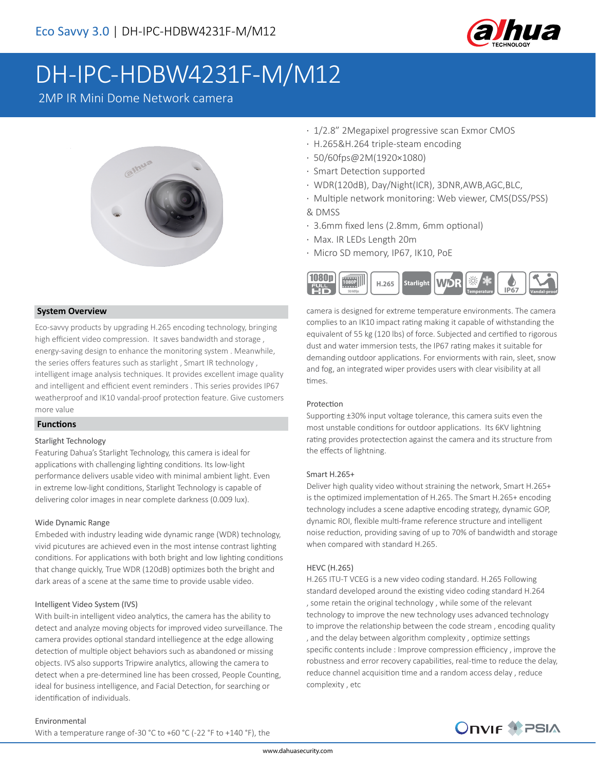

# DH-IPC-HDBW4231F-M/M12

2MP IR Mini Dome Network camera



#### **System Overview**

Eco-savvy products by upgrading H.265 encoding technology, bringing high efficient video compression. It saves bandwidth and storage , energy-saving design to enhance the monitoring system . Meanwhile, the series offers features such as starlight , Smart IR technology , intelligent image analysis techniques. It provides excellent image quality and intelligent and efficient event reminders . This series provides IP67 weatherproof and IK10 vandal-proof protection feature. Give customers more value

#### **Functions**

#### Starlight Technology

Featuring Dahua's Starlight Technology, this camera is ideal for applications with challenging lighting conditions. Its low-light performance delivers usable video with minimal ambient light. Even in extreme low-light conditions, Starlight Technology is capable of delivering color images in near complete darkness (0.009 lux).

#### Wide Dynamic Range

Embeded with industry leading wide dynamic range (WDR) technology, vivid picutures are achieved even in the most intense contrast lighting conditions. For applications with both bright and low lighting conditions that change quickly, True WDR (120dB) optimizes both the bright and dark areas of a scene at the same time to provide usable video.

#### Intelligent Video System (IVS)

With built-in intelligent video analytics, the camera has the ability to detect and analyze moving objects for improved video surveillance. The camera provides optional standard intelliegence at the edge allowing detection of multiple object behaviors such as abandoned or missing objects. IVS also supports Tripwire analytics, allowing the camera to detect when a pre-determined line has been crossed, People Counting, ideal for business intelligence, and Facial Detection, for searching or identification of individuals.

#### Environmental

With a temperature range of -30 °C to +60 °C (-22 °F to +140 °F), the

- · 1/2.8" 2Megapixel progressive scan Exmor CMOS
- · H.265&H.264 triple-steam encoding
- · 50/60fps@2M(1920×1080)
- · Smart Detection supported
- · WDR(120dB), Day/Night(ICR), 3DNR,AWB,AGC,BLC,
- · Multiple network monitoring: Web viewer, CMS(DSS/PSS) & DMSS
- · 3.6mm fixed lens (2.8mm, 6mm optional)
- · Max. IR LEDs Length 20m
- · Micro SD memory, IP67, IK10, PoE



camera is designed for extreme temperature environments. The camera complies to an IK10 impact rating making it capable of withstanding the equivalent of 55 kg (120 lbs) of force. Subjected and certified to rigorous dust and water immersion tests, the IP67 rating makes it suitable for demanding outdoor applications. For enviorments with rain, sleet, snow and fog, an integrated wiper provides users with clear visibility at all times.

#### Protection

Supporting ±30% input voltage tolerance, this camera suits even the most unstable conditions for outdoor applications. Its 6KV lightning rating provides protectection against the camera and its structure from the effects of lightning.

#### Smart H.265+

Deliver high quality video without straining the network, Smart H.265+ is the optimized implementation of H.265. The Smart H.265+ encoding technology includes a scene adaptive encoding strategy, dynamic GOP, dynamic ROI, flexible multi-frame reference structure and intelligent noise reduction, providing saving of up to 70% of bandwidth and storage when compared with standard H.265.

#### HEVC (H.265)

H.265 ITU-T VCEG is a new video coding standard. H.265 Following standard developed around the existing video coding standard H.264 , some retain the original technology , while some of the relevant technology to improve the new technology uses advanced technology to improve the relationship between the code stream , encoding quality , and the delay between algorithm complexity , optimize settings specific contents include : Improve compression efficiency , improve the robustness and error recovery capabilities, real-time to reduce the delay, reduce channel acquisition time and a random access delay , reduce complexity , etc

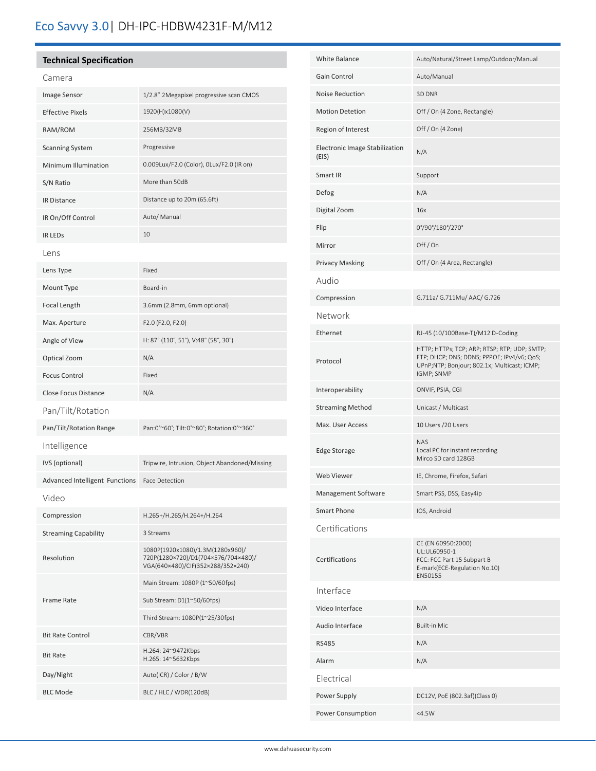## Eco Savvy 3.0| DH-IPC-HDBW4231F-M/M12

### **Technical Specification**

| Camera                                |                                                                                                              |
|---------------------------------------|--------------------------------------------------------------------------------------------------------------|
| Image Sensor                          | 1/2.8" 2Megapixel progressive scan CMOS                                                                      |
| <b>Effective Pixels</b>               | 1920(H)x1080(V)                                                                                              |
| RAM/ROM                               | 256MB/32MB                                                                                                   |
| <b>Scanning System</b>                | Progressive                                                                                                  |
| Minimum Illumination                  | 0.009Lux/F2.0 (Color), 0Lux/F2.0 (IR on)                                                                     |
| S/N Ratio                             | More than 50dB                                                                                               |
| IR Distance                           | Distance up to 20m (65.6ft)                                                                                  |
| IR On/Off Control                     | Auto/ Manual                                                                                                 |
| IR LEDS                               | 10                                                                                                           |
| Lens                                  |                                                                                                              |
| Lens Type                             | Fixed                                                                                                        |
| Mount Type                            | Board-in                                                                                                     |
| Focal Length                          | 3.6mm (2.8mm, 6mm optional)                                                                                  |
| Max. Aperture                         | F2.0 (F2.0, F2.0)                                                                                            |
| Angle of View                         | H: 87° (110°, 51°), V:48° (58°, 30°)                                                                         |
| Optical Zoom                          | N/A                                                                                                          |
| <b>Focus Control</b>                  | Fixed                                                                                                        |
| <b>Close Focus Distance</b>           | N/A                                                                                                          |
| Pan/Tilt/Rotation                     |                                                                                                              |
| Pan/Tilt/Rotation Range               | Pan:0°~60°; Tilt:0°~80°; Rotation:0°~360°                                                                    |
| Intelligence                          |                                                                                                              |
| IVS (optional)                        | Tripwire, Intrusion, Object Abandoned/Missing                                                                |
| <b>Advanced Intelligent Functions</b> | <b>Face Detection</b>                                                                                        |
| Video                                 |                                                                                                              |
| Compression                           | H.265+/H.265/H.264+/H.264                                                                                    |
| <b>Streaming Capability</b>           | 3 Streams                                                                                                    |
| Resolution                            | 1080P(1920x1080)/1.3M(1280x960)/<br>720P(1280×720)/D1(704×576/704×480)/<br>VGA(640×480)/CIF(352×288/352×240) |
| Frame Rate                            | Main Stream: 1080P (1~50/60fps)                                                                              |
|                                       | Sub Stream: D1(1~50/60fps)                                                                                   |
|                                       | Third Stream: 1080P(1~25/30fps)                                                                              |
| <b>Bit Rate Control</b>               | CBR/VBR                                                                                                      |
| <b>Bit Rate</b>                       | H.264: 24~9472Kbps<br>H.265: 14~5632Kbps                                                                     |
|                                       |                                                                                                              |
| Day/Night                             | Auto(ICR) / Color / B/W                                                                                      |

| <b>White Balance</b>                    | Auto/Natural/Street Lamp/Outdoor/Manual                                                                                                                 |
|-----------------------------------------|---------------------------------------------------------------------------------------------------------------------------------------------------------|
| Gain Control                            | Auto/Manual                                                                                                                                             |
| Noise Reduction                         | 3D DNR                                                                                                                                                  |
| <b>Motion Detetion</b>                  | Off / On (4 Zone, Rectangle)                                                                                                                            |
| Region of Interest                      | Off / On (4 Zone)                                                                                                                                       |
| Electronic Image Stabilization<br>(EIS) | N/A                                                                                                                                                     |
| Smart IR                                | Support                                                                                                                                                 |
| Defog                                   | N/A                                                                                                                                                     |
| Digital Zoom                            | 16x                                                                                                                                                     |
| Flip                                    | 0°/90°/180°/270°                                                                                                                                        |
| Mirror                                  | Off/On                                                                                                                                                  |
| <b>Privacy Masking</b>                  | Off / On (4 Area, Rectangle)                                                                                                                            |
| Audio                                   |                                                                                                                                                         |
| Compression                             | G.711a/ G.711Mu/ AAC/ G.726                                                                                                                             |
| Network                                 |                                                                                                                                                         |
| Ethernet                                | RJ-45 (10/100Base-T)/M12 D-Coding                                                                                                                       |
| Protocol                                | HTTP; HTTPs; TCP; ARP; RTSP; RTP; UDP; SMTP;<br>FTP; DHCP; DNS; DDNS; PPPOE; IPv4/v6; QoS;<br>UPnP;NTP; Bonjour; 802.1x; Multicast; ICMP;<br>IGMP; SNMP |
|                                         |                                                                                                                                                         |
| Interoperability                        | ONVIF, PSIA, CGI                                                                                                                                        |
| <b>Streaming Method</b>                 | Unicast / Multicast                                                                                                                                     |
| Max. User Access                        | 10 Users / 20 Users                                                                                                                                     |
| <b>Edge Storage</b>                     | <b>NAS</b><br>Local PC for instant recording<br>Mirco SD card 128GB                                                                                     |
| <b>Web Viewer</b>                       | IE, Chrome, Firefox, Safari                                                                                                                             |
| Management Software                     | Smart PSS, DSS, Easy4ip                                                                                                                                 |
| <b>Smart Phone</b>                      | IOS, Android                                                                                                                                            |
| Certifications                          |                                                                                                                                                         |
| Certifications                          | CE (EN 60950:2000)<br>UL:UL60950-1<br>FCC: FCC Part 15 Subpart B<br>E-mark(ECE-Regulation No.10)<br>EN50155                                             |
| Interface                               |                                                                                                                                                         |
| Video Interface                         | N/A                                                                                                                                                     |
| Audio Interface                         | <b>Built-in Mic</b>                                                                                                                                     |
| <b>RS485</b>                            | N/A                                                                                                                                                     |
| Alarm                                   | N/A                                                                                                                                                     |
| Electrical                              |                                                                                                                                                         |
| Power Supply                            | DC12V, PoE (802.3af)(Class 0)                                                                                                                           |